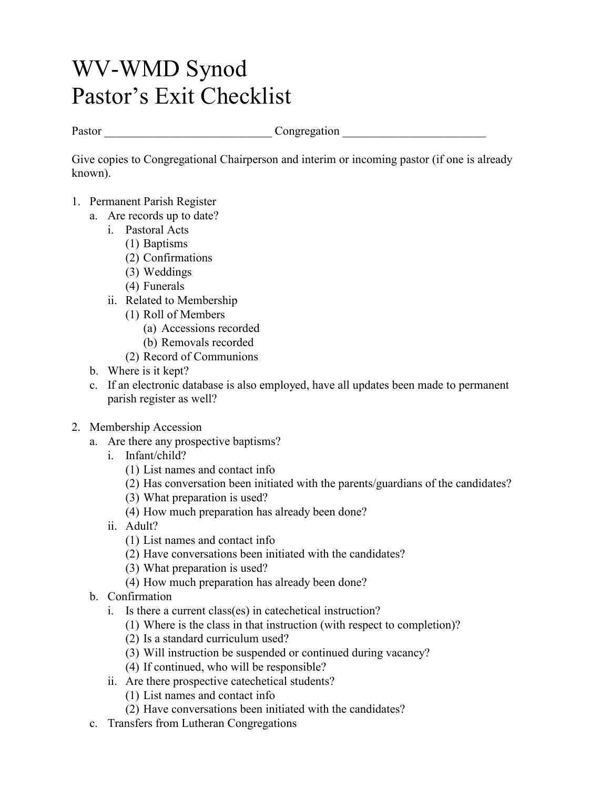## WV-WMD Synod Pastor's Exit Checklist

Pastor Congregation  $\blacksquare$ 

Give copies to Congregational Chairperson and interim or incoming pastor (if one is already known).

- 1. Permanent Parish Register
	- a. Are records up to date?
		- i. Pastoral Acts
			- (1) Baptisms
			- (2) Confirmations
			- (3) Weddings
			- (4) Funerals
		- ii. Related to Membership
			- (1) Roll of Members
				- (a) Accessions recorded
				- (b) Removals recorded
			- (2) Record of Communions
	- b. Where is it kept?
	- c. If an electronic database is also employed, have all updates been made to permanent parish register as well?
- 2. Membership Accession
	- a. Are there any prospective baptisms?
		- i. Infant/child?
			- (1) List names and contact info
			- (2) Has conversation been initiated with the parents/guardians of the candidates?
			- (3) What preparation is used?
			- (4) How much preparation has already been done?
		- ii. Adult?
			- (1) List names and contact info
			- (2) Have conversations been initiated with the candidates?
			- (3) What preparation is used?
			- (4) How much preparation has already been done?
	- b. Confirmation
		- i. Is there a current class(es) in catechetical instruction?
			- (1) Where is the class in that instruction (with respect to completion)?
			- (2) Is a standard curriculum used?
			- (3) Will instruction be suspended or continued during vacancy?
			- (4) If continued, who will be responsible?
		- ii. Are there prospective catechetical students?
			- (1) List names and contact info
			- (2) Have conversations been initiated with the candidates?
	- c. Transfers from Lutheran Congregations